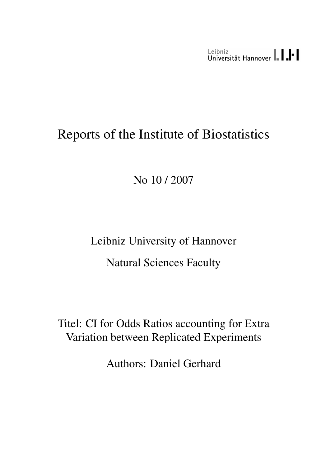Leibniz<br>Universität Hannover | | | |

# Reports of the Institute of Biostatistics

No 10 / 2007

Leibniz University of Hannover Natural Sciences Faculty

Titel: CI for Odds Ratios accounting for Extra Variation between Replicated Experiments

Authors: Daniel Gerhard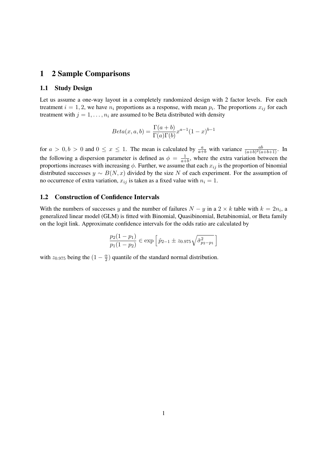#### 1 2 Sample Comparisons

#### 1.1 Study Design

Let us assume a one-way layout in a completely randomized design with 2 factor levels. For each treatment  $i = 1, 2$ , we have  $n_i$  proportions as a response, with mean  $p_i$ . The proportions  $x_{ij}$  for each treatment with  $j = 1, \ldots, n_i$  are assumed to be Beta distributed with density

$$
Beta(x, a, b) = \frac{\Gamma(a+b)}{\Gamma(a)\Gamma(b)} x^{a-1} (1-x)^{b-1}
$$

for  $a > 0, b > 0$  and  $0 \le x \le 1$ . The mean is calculated by  $\frac{a}{a+b}$  with variance  $\frac{ab}{(a+b)^2(a+b+1)}$ . In the following a dispersion parameter is defined as  $\phi = \frac{1}{\sigma^2}$  $\frac{1}{a+b}$ , where the extra variation between the proportions increases with increasing  $\phi$ . Further, we assume that each  $x_{ij}$  is the proportion of binomial distributed successes  $y \sim B(N, x)$  divided by the size N of each experiment. For the assumption of no occurrence of extra variation,  $x_{ij}$  is taken as a fixed value with  $n_i = 1$ .

#### 1.2 Construction of Confidence Intervals

With the numbers of successes y and the number of failures  $N - y$  in a  $2 \times k$  table with  $k = 2n_i$ , a generalized linear model (GLM) is fitted with Binomial, Quasibinomial, Betabinomial, or Beta family on the logit link. Approximate confidence intervals for the odds ratio are calculated by

$$
\frac{p_2(1-p_1)}{p_1(1-p_2)} \in \exp\left[\hat{p}_{2-1} \pm z_{0.975}\sqrt{\hat{\sigma}_{p_2-p_1}^2}\right]
$$

with  $z_{0.975}$  being the  $\left(1-\frac{\alpha}{2}\right)$  $\frac{\alpha}{2}$ ) quantile of the standard normal distribution.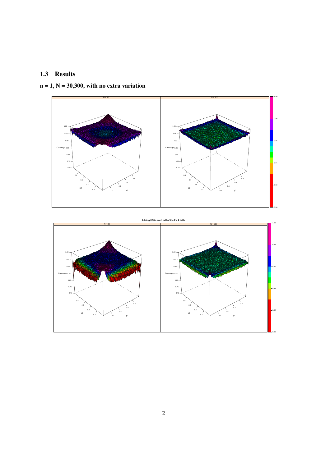## 1.3 Results



## $n = 1, N = 30,300$ , with no extra variation

#### **Adding 0.5 to each cell of the 2 x k table**

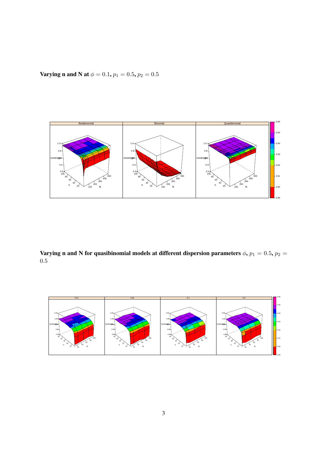Varying n and N at  $\phi=0.1,$   $p_1=0.5,$   $p_2=0.5$ 



Varying n and N for quasibinomial models at different dispersion parameters  $\phi$ ,  $p_1 = 0.5$ ,  $p_2 = 0.5$ 0.5

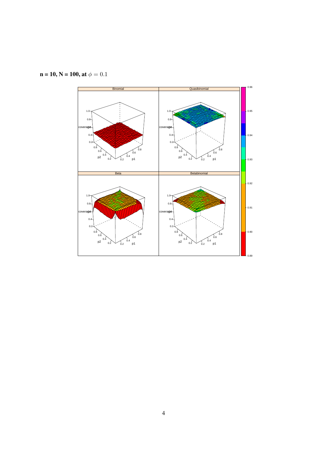

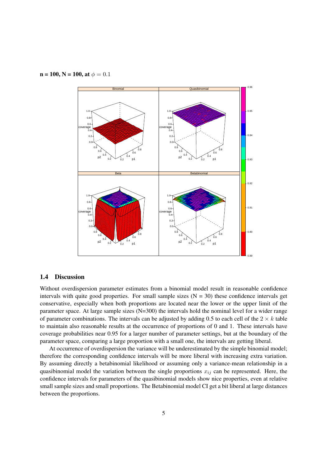$n = 100$ ,  $N = 100$ , at  $\phi = 0.1$ 



#### 1.4 Discussion

Without overdispersion parameter estimates from a binomial model result in reasonable confidence intervals with quite good properties. For small sample sizes  $(N = 30)$  these confidence intervals get conservative, especially when both proportions are located near the lower or the upper limit of the parameter space. At large sample sizes (N=300) the intervals hold the nominal level for a wider range of parameter combinations. The intervals can be adjusted by adding 0.5 to each cell of the  $2 \times k$  table to maintain also reasonable results at the occurrence of proportions of 0 and 1. These intervals have coverage probabilities near 0.95 for a larger number of parameter settings, but at the boundary of the parameter space, comparing a large proportion with a small one, the intervals are getting liberal.

At occurrence of overdispersion the variance will be underestimated by the simple binomial model; therefore the corresponding confidence intervals will be more liberal with increasing extra variation. By assuming directly a betabinomial likelihood or assuming only a variance-mean relationship in a quasibinomial model the variation between the single proportions  $x_{ij}$  can be represented. Here, the confidence intervals for parameters of the quasibinomial models show nice properties, even at relative small sample sizes and small proportions. The Betabinomial model CI get a bit liberal at large distances between the proportions.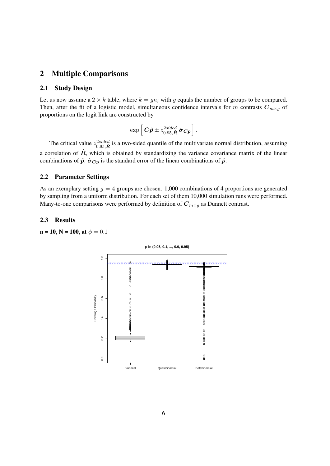## 2 Multiple Comparisons

#### 2.1 Study Design

Let us now assume a  $2 \times k$  table, where  $k = qn_i$  with q equals the number of groups to be compared. Then, after the fit of a logistic model, simultaneous confidence intervals for m contrasts  $C_{m\times q}$  of proportions on the logit link are constructed by

$$
\exp\left[\bm{C}\bm{\hat{p}}\pm z_{0.95,\bm{\hat{R}}}^{2sided}\, \bm{\hat{\sigma}}_{\bm{C}\bm{p}}\right].
$$

The critical value  $z_{0.95,\hat{R}}^{2sided}$  is a two-sided quantile of the multivariate normal distribution, assuming a correlation of  $\hat{R}$ , which is obtained by standardizing the variance covariance matrix of the linear combinations of  $\hat{p}$ .  $\hat{\sigma}_{Cp}$  is the standard error of the linear combinations of  $\hat{p}$ .

#### 2.2 Parameter Settings

As an exemplary setting  $g = 4$  groups are chosen. 1,000 combinations of 4 proportions are generated by sampling from a uniform distribution. For each set of them 10,000 simulation runs were performed. Many-to-one comparisons were performed by definition of  $C_{m \times q}$  as Dunnett contrast.

#### 2.3 Results

 $n = 10$ ,  $N = 100$ , at  $\phi = 0.1$